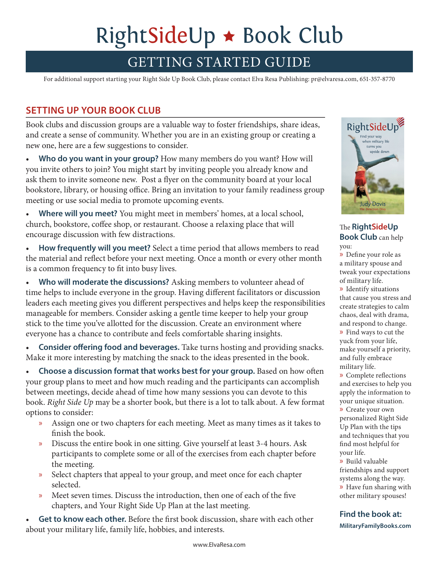# RightSideUp  $\star$  Book Club

# GETTING STARTED GUIDE

For additional support starting your Right Side Up Book Club, please contact Elva Resa Publishing: pr@elvaresa.com, 651-357-8770

### **SETTING UP YOUR BOOK CLUB**

Book clubs and discussion groups are a valuable way to foster friendships, share ideas, and create a sense of community. Whether you are in an existing group or creating a new one, here are a few suggestions to consider.

• **Who do you want in your group?** How many members do you want? How will you invite others to join? You might start by inviting people you already know and ask them to invite someone new. Post a flyer on the community board at your local bookstore, library, or housing office. Bring an invitation to your family readiness group meeting or use social media to promote upcoming events.

• **Where will you meet?** You might meet in members' homes, at a local school, church, bookstore, coffee shop, or restaurant. Choose a relaxing place that will encourage discussion with few distractions.

• **How frequently will you meet?** Select a time period that allows members to read the material and reflect before your next meeting. Once a month or every other month is a common frequency to fit into busy lives.

**Who will moderate the discussions?** Asking members to volunteer ahead of time helps to include everyone in the group. Having different facilitators or discussion leaders each meeting gives you different perspectives and helps keep the responsibilities manageable for members. Consider asking a gentle time keeper to help your group stick to the time you've allotted for the discussion. Create an environment where everyone has a chance to contribute and feels comfortable sharing insights.

• **Consider offering food and beverages.** Take turns hosting and providing snacks. Make it more interesting by matching the snack to the ideas presented in the book.

• Choose a discussion format that works best for your group. Based on how often your group plans to meet and how much reading and the participants can accomplish between meetings, decide ahead of time how many sessions you can devote to this book. *Right Side Up* may be a shorter book, but there is a lot to talk about. A few format options to consider:

- » Assign one or two chapters for each meeting. Meet as many times as it takes to finish the book.
- » Discuss the entire book in one sitting. Give yourself at least 3-4 hours. Ask participants to complete some or all of the exercises from each chapter before the meeting.
- » Select chapters that appeal to your group, and meet once for each chapter selected.
- » Meet seven times. Discuss the introduction, then one of each of the five chapters, and Your Right Side Up Plan at the last meeting.

• **Get to know each other.** Before the first book discussion, share with each other about your military life, family life, hobbies, and interests.



The **RightSideUp Book Club** can help you:

» Define your role as a military spouse and tweak your expectations of military life.

» Identify situations that cause you stress and create strategies to calm chaos, deal with drama, and respond to change. » Find ways to cut the yuck from your life, make yourself a priority, and fully embrace military life.

» Complete reflections and exercises to help you apply the information to your unique situation. » Create your own personalized Right Side Up Plan with the tips and techniques that you find most helpful for your life.

» Build valuable friendships and support systems along the way. » Have fun sharing with other military spouses!

#### **Find the book at: MilitaryFamilyBooks.com**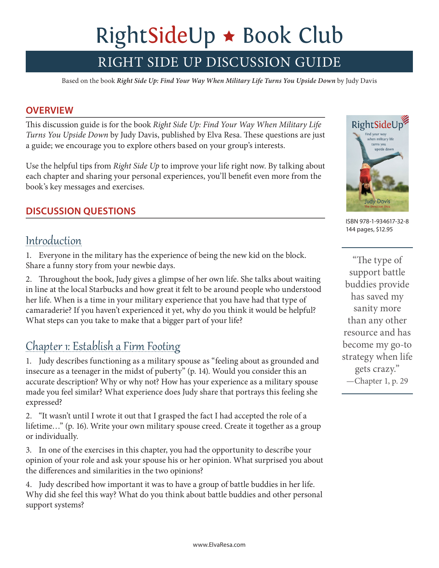# RightSideUp \* Book Club

# RIGHT SIDE UP DISCUSSION GUIDE

Based on the book *Right Side Up: Find Your Way When Military Life Turns You Upside Down* by Judy Davis

#### **OVERVIEW**

This discussion guide is for the book *Right Side Up: Find Your Way When Military Life Turns You Upside Down* by Judy Davis, published by Elva Resa. These questions are just a guide; we encourage you to explore others based on your group's interests.

Use the helpful tips from *Right Side Up* to improve your life right now. By talking about each chapter and sharing your personal experiences, you'll benefit even more from the book's key messages and exercises.

### **DISCUSSION QUESTIONS**

## Introduction

1. Everyone in the military has the experience of being the new kid on the block. Share a funny story from your newbie days.

2. Throughout the book, Judy gives a glimpse of her own life. She talks about waiting in line at the local Starbucks and how great it felt to be around people who understood her life. When is a time in your military experience that you have had that type of camaraderie? If you haven't experienced it yet, why do you think it would be helpful? What steps can you take to make that a bigger part of your life?

## Chapter 1: Establish a Firm Footing

1. Judy describes functioning as a military spouse as "feeling about as grounded and insecure as a teenager in the midst of puberty" (p. 14). Would you consider this an accurate description? Why or why not? How has your experience as a military spouse made you feel similar? What experience does Judy share that portrays this feeling she expressed?

2. "It wasn't until I wrote it out that I grasped the fact I had accepted the role of a lifetime…" (p. 16). Write your own military spouse creed. Create it together as a group or individually.

3. In one of the exercises in this chapter, you had the opportunity to describe your opinion of your role and ask your spouse his or her opinion. What surprised you about the differences and similarities in the two opinions?

4. Judy described how important it was to have a group of battle buddies in her life. Why did she feel this way? What do you think about battle buddies and other personal support systems?



ISBN 978-1-934617-32-8 144 pages, \$12.95

"The type of support battle buddies provide has saved my sanity more than any other resource and has become my go-to strategy when life gets crazy." —Chapter 1, p. 29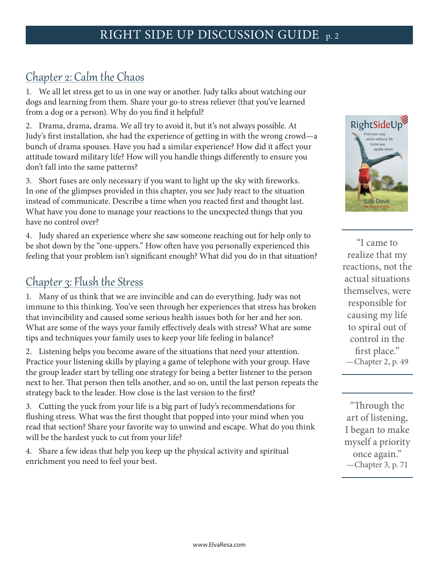## Chapter 2: Calm the Chaos

1. We all let stress get to us in one way or another. Judy talks about watching our dogs and learning from them. Share your go-to stress reliever (that you've learned from a dog or a person). Why do you find it helpful?

2. Drama, drama, drama. We all try to avoid it, but it's not always possible. At Judy's first installation, she had the experience of getting in with the wrong crowd—a bunch of drama spouses. Have you had a similar experience? How did it affect your attitude toward military life? How will you handle things differently to ensure you don't fall into the same patterns?

3. Short fuses are only necessary if you want to light up the sky with fireworks. In one of the glimpses provided in this chapter, you see Judy react to the situation instead of communicate. Describe a time when you reacted first and thought last. What have you done to manage your reactions to the unexpected things that you have no control over?

4. Judy shared an experience where she saw someone reaching out for help only to be shot down by the "one-uppers." How often have you personally experienced this feeling that your problem isn't significant enough? What did you do in that situation?

## Chapter 3: Flush the Stress

1. Many of us think that we are invincible and can do everything. Judy was not immune to this thinking. You've seen through her experiences that stress has broken that invincibility and caused some serious health issues both for her and her son. What are some of the ways your family effectively deals with stress? What are some tips and techniques your family uses to keep your life feeling in balance?

2. Listening helps you become aware of the situations that need your attention. Practice your listening skills by playing a game of telephone with your group. Have the group leader start by telling one strategy for being a better listener to the person next to her. That person then tells another, and so on, until the last person repeats the strategy back to the leader. How close is the last version to the first?

3. Cutting the yuck from your life is a big part of Judy's recommendations for flushing stress. What was the first thought that popped into your mind when you read that section? Share your favorite way to unwind and escape. What do you think will be the hardest yuck to cut from your life?

4. Share a few ideas that help you keep up the physical activity and spiritual enrichment you need to feel your best.



"I came to realize that my reactions, not the actual situations themselves, were responsible for causing my life to spiral out of control in the first place." —Chapter 2, p. 49

"Through the art of listening, I began to make myself a priority once again." —Chapter 3, p. 71